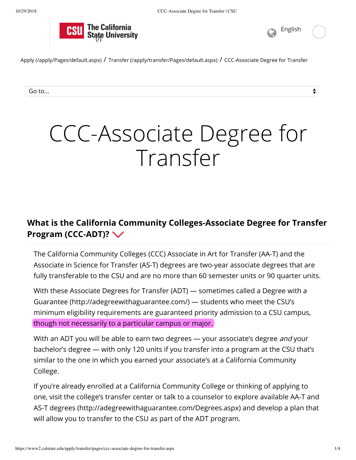



 $\overset{\blacktriangle}{\blacktriangledown}$ 

Apply (/apply/Pages/default.aspx) / Transfer (/apply/transfer/Pages/default.aspx) / CCC-Associate Degree for Transfer

Go to...

# CCC-Associate Degree for Transfer

## **What is the California Community Colleges-Associate Degree for Transfer Program (CCC-ADT)?**

The California Community Colleges (CCC) Associate in Art for Transfer (AA-T) and the Associate in Science for Transfer (AS-T) degrees are two-year associate degrees that are fully transferable to the CSU and are no more than 60 semester units or 90 quarter units.

With these Associate Degrees for Transfer (ADT) — sometimes called a Degree with a Guarantee (http://adegreewithaguarantee.com/) — students who meet the CSU's minimum eligibility requirements are guaranteed priority admission to a CSU campus, though not necessarily to a particular campus or major.

With an ADT you will be able to earn two degrees — your associate's degree and your bachelor's degree — with only 120 units if you transfer into a program at the CSU that's similar to the one in which you earned your associate's at a California Community College.

If you're already enrolled at a California Community College or thinking of applying to one, visit the college's transfer center or talk to a counselor to explore available AA-T and AS-T degrees (http://adegreewithaguarantee.com/Degrees.aspx) and develop a plan that will allow you to transfer to the CSU as part of the ADT program.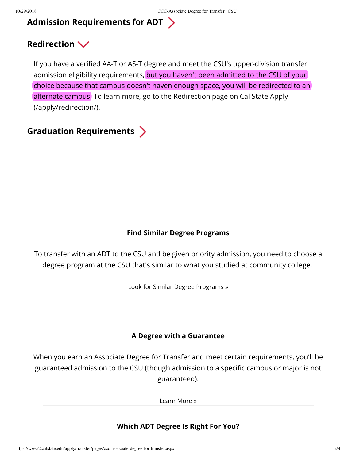## **Admission Requirements for ADT**

## **Redirection**

If you have a verified AA-T or AS-T degree and meet the CSU's upper-division transfer admission eligibility requirements, but you haven't been admitted to the CSU of your choice because that campus doesn't haven enough space, you will be redirected to an alternate campus. To learn more, go to the Redirection page on Cal State Apply (/apply/redirection/).

**Graduation Requirements**

#### **Find Similar Degree Programs**

To transfer with an ADT to the CSU and be given priority admission, you need to choose a degree program at the CSU that's similar to what you studied at community college.

Look for Similar Degree Programs »

#### **A Degree with a Guarantee**

When you earn an Associate Degree for Transfer and meet certain requirements, you'll be guaranteed admission to the CSU (though admission to a specific campus or major is not guaranteed).

Learn More »

#### **Which ADT Degree Is Right For You?**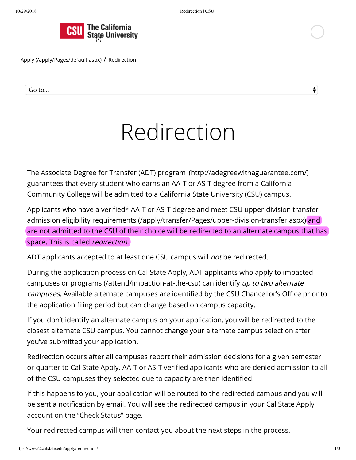

Apply (/apply/Pages/default.aspx) / Redirection

Go to...

# Redirection

The Associate Degree for Transfer (ADT) program (http://adegreewithaguarantee.com/) guarantees that every student who earns an AA-T or AS-T degree from a California Community College will be admitted to a California State University (CSU) campus.

Applicants who have a verified\* AA-T or AS-T degree and meet CSU upper-division transfer admission eligibility requirements (/apply/transfer/Pages/upper-division-transfer.aspx) and are not admitted to the CSU of their choice will be redirected to an alternate campus that has space. This is called *redirection*.

ADT applicants accepted to at least one CSU campus will *not* be redirected.

During the application process on Cal State Apply, ADT applicants who apply to impacted campuses or programs (/attend/impaction-at-the-csu) can identify up to two alternate campuses. Available alternate campuses are identified by the CSU Chancellor's Office prior to the application filing period but can change based on campus capacity.

If you don't identify an alternate campus on your application, you will be redirected to the closest alternate CSU campus. You cannot change your alternate campus selection after you've submitted your application.

Redirection occurs after all campuses report their admission decisions for a given semester or quarter to Cal State Apply. AA-T or AS-T verified applicants who are denied admission to all of the CSU campuses they selected due to capacity are then identified.

If this happens to you, your application will be routed to the redirected campus and you will be sent a notification by email. You will see the redirected campus in your Cal State Apply account on the "Check Status" page.

Your redirected campus will then contact you about the next steps in the process.

 $\frac{4}{7}$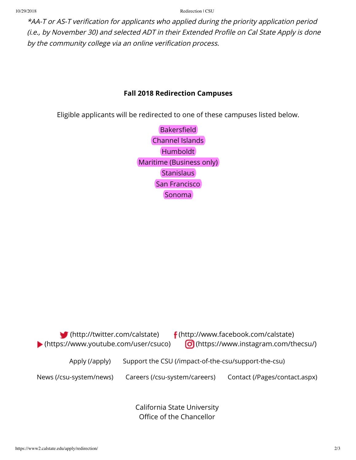10/29/2018 Redirection | CSU

\*AA-T or AS-T verification for applicants who applied during the priority application period (i.e., by November 30) and selected ADT in their Extended Profile on Cal State Apply is done by the community college via an online verification process.

### **Fall 2018 Redirection Campuses**

Eligible applicants will be redirected to one of these campuses listed below.

Bakersfield Channel Islands Humboldt Maritime (Business only) **Stanislaus** San Francisco Sonoma



California State University Office of the Chancellor